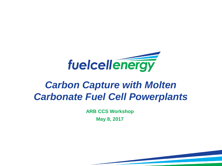

# *Carbon Capture with Molten Carbonate Fuel Cell Powerplants*

**ARB CCS Workshop**

**May 8, 2017**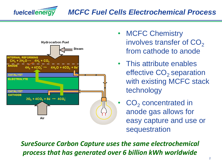



- **MCFC Chemistry** involves transfer of  $CO<sub>2</sub>$ from cathode to anode
- This attribute enables effective CO<sub>2</sub> separation with existing MCFC stack technology
- $CO<sub>2</sub>$  concentrated in anode gas allows for easy capture and use or sequestration

*SureSource Carbon Capture uses the same electrochemical process that has generated over 6 billion kWh worldwide*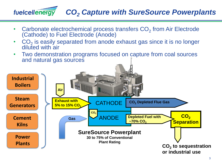## *CO<sup>2</sup> Capture with SureSource Powerplants*

• Carbonate electrochemical process transfers  $CO<sub>2</sub>$  from Air Electrode (Cathode) to Fuel Electrode (Anode)

fuelcellenergy

- $CO<sub>2</sub>$  is easily separated from anode exhaust gas since it is no longer diluted with air
- Two demonstration programs focused on capture from coal sources and natural gas sources

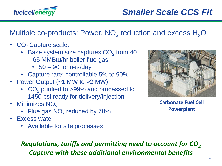

Multiple co-products: Power,  $NO_x$  reduction and excess  $H_2O$ 

- $CO<sub>2</sub>$  Capture scale:
	- Base system size captures  $CO<sub>2</sub>$  from 40
		- 65 MMBtu/hr boiler flue gas
			- 50 90 tonnes/day
	- Capture rate: controllable 5% to 90%
- Power Output (~1 MW to >2 MW)
	- $CO<sub>2</sub>$  purified to >99% and processed to 1450 psi ready for delivery/injection
- Minimizes NO<sub>x</sub>
	- Flue gas  $NO_x$  reduced by 70%
- **Excess water** 
	- Available for site processes



**Carbonate Fuel Cell Powerplant**

*Regulations, tariffs and permitting need to account for CO<sup>2</sup> Capture with these additional environmental benefits*